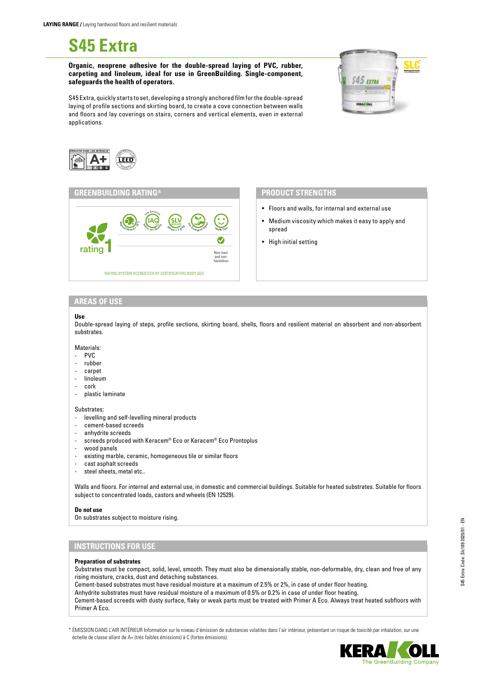**S45 Extra**

**Organic, neoprene adhesive for the double-spread laying of PVC, rubber, carpeting and linoleum, ideal for use in GreenBuilding. Single-component, safeguards the health of operators.**

S45 Extra, quickly starts to set, developing a strongly anchored film for the double-spread laying of profile sections and skirting board, to create a cove connection between walls and floors and lay coverings on stairs, corners and vertical elements, even in external applications.



## **GREENBUILDING RATING® PRODUCT STRENGTHS**



- Floors and walls, for internal and external use
- Medium viscosity which makes it easy to apply and spread
- High initial setting

## **AREAS OF USE**

## **Use**

Double-spread laying of steps, profile sections, skirting board, shells, floors and resilient material on absorbent and non-absorbent substrates.

#### Materials:

- PVC
- rubber
- carpet
- linoleum
- cork
- plastic laminate

Substrates:

- levelling and self-levelling mineral products
- cement-based screeds
- anhydrite screeds
- screeds produced with Keracem® Eco or Keracem® Eco Prontoplus
- wood panels
- existing marble, ceramic, homogeneous tile or similar floors
- cast asphalt screeds
- steel sheets, metal etc..

Walls and floors. For internal and external use, in domestic and commercial buildings. Suitable for heated substrates. Suitable for floors subject to concentrated loads, castors and wheels (EN 12529).

## **Do not use**

On substrates subject to moisture rising.

# **INSTRUCTIONS FOR USE**

#### **Preparation of substrates**

Substrates must be compact, solid, level, smooth. They must also be dimensionally stable, non-deformable, dry, clean and free of any rising moisture, cracks, dust and detaching substances.

Cement-based substrates must have residual moisture at a maximum of 2.5% or 2%, in case of under floor heating.

Anhydrite substrates must have residual moisture of a maximum of 0.5% or 0.2% in case of under floor heating.

Cement-based screeds with dusty surface, flaky or weak parts must be treated with Primer A Eco. Always treat heated subfloors with Primer A Eco.

\* ÉMISSION DANS L'AIR INTÉRIEUR Information sur le niveau d'émission de substances volatiles dans l'air intérieur, présentant un risque de toxicité par inhalation, sur une échelle de classe allant de A+ (très faibles émissions) à C (fortes émissions).



SLC®TECHNOLOGY S45 EXTRA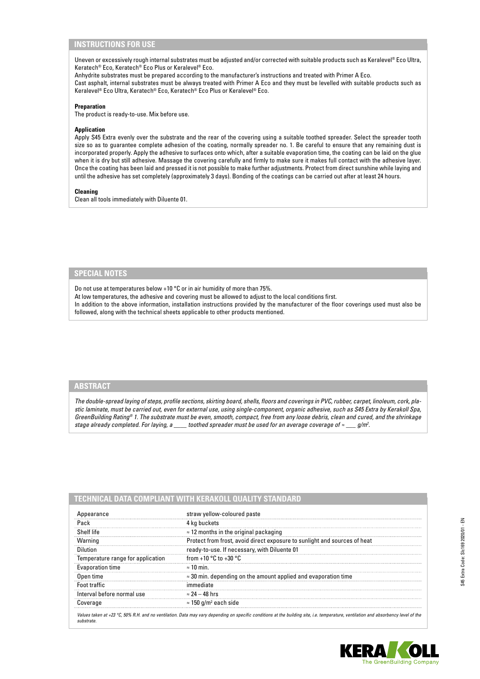## **INSTRUCTIONS FOR USE**

Uneven or excessively rough internal substrates must be adjusted and/or corrected with suitable products such as Keralevel® Eco Ultra, Keratech® Eco, Keratech® Eco Plus or Keralevel® Eco.

Anhydrite substrates must be prepared according to the manufacturer's instructions and treated with Primer A Eco. Cast asphalt, internal substrates must be always treated with Primer A Eco and they must be levelled with suitable products such as Keralevel® Eco Ultra, Keratech® Eco, Keratech® Eco Plus or Keralevel® Eco.

## **Preparation**

The product is ready-to-use. Mix before use.

## **Application**

Apply S45 Extra evenly over the substrate and the rear of the covering using a suitable toothed spreader. Select the spreader tooth size so as to guarantee complete adhesion of the coating, normally spreader no. 1. Be careful to ensure that any remaining dust is incorporated properly. Apply the adhesive to surfaces onto which, after a suitable evaporation time, the coating can be laid on the glue when it is dry but still adhesive. Massage the covering carefully and firmly to make sure it makes full contact with the adhesive layer. Once the coating has been laid and pressed it is not possible to make further adjustments. Protect from direct sunshine while laying and until the adhesive has set completely (approximately 3 days). Bonding of the coatings can be carried out after at least 24 hours.

#### **Cleaning**

Clean all tools immediately with Diluente 01.

## **SPECIAL NOTES**

Do not use at temperatures below +10 °C or in air humidity of more than 75%.

At low temperatures, the adhesive and covering must be allowed to adjust to the local conditions first.

In addition to the above information, installation instructions provided by the manufacturer of the floor coverings used must also be followed, along with the technical sheets applicable to other products mentioned.

# **ABSTRACT**

*substrate.*

*The double-spread laying of steps, profile sections, skirting board, shells, floors and coverings in PVC, rubber, carpet, linoleum, cork, plastic laminate, must be carried out, even for external use, using single-component, organic adhesive, such as S45 Extra by Kerakoll Spa, GreenBuilding Rating® 1. The substrate must be even, smooth, compact, free from any loose debris, clean and cured, and the shrinkage stage already completed. For laying, a*  $\_\_\_$  toothed spreader must be used for an average coverage of  $\approx$   $\_\_\_\_\_$  $q/m^2$ .

| Appearance                        | straw yellow-coloured paste                                               |
|-----------------------------------|---------------------------------------------------------------------------|
| Pack                              | 4 kg buckets                                                              |
| Shelf life                        | $\approx$ 12 months in the original packaging                             |
| Warning                           | Protect from frost, avoid direct exposure to sunlight and sources of heat |
| Dilution                          | ready-to-use. If necessary, with Diluente 01                              |
| Temperature range for application | from +10 $^{\circ}$ C to +30 $^{\circ}$ C                                 |
| Evaporation time                  | $\approx$ 10 min.                                                         |
| Open time                         | $\approx$ 30 min. depending on the amount applied and evaporation time    |
| Foot traffic                      | immediate                                                                 |
| Interval before normal use        | $\approx$ 24 – 48 hrs                                                     |
| Coverage                          | $\approx$ 150 g/m <sup>2</sup> each side                                  |